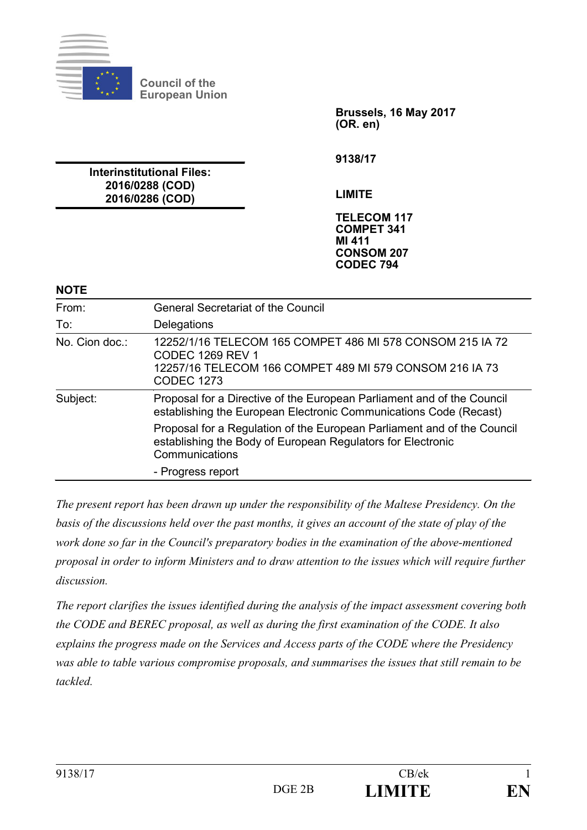

**Council of the European Union**

> **Brussels, 16 May 2017 (OR. en)**

**9138/17**

**LIMITE**

**TELECOM 117 COMPET 341 MI 411 CONSOM 207 CODEC 794**

**2016/0288 (COD) 2016/0286 (COD)**

**Interinstitutional Files:**

#### **NOTE**

| From:          | <b>General Secretariat of the Council</b>                                                                                                                            |
|----------------|----------------------------------------------------------------------------------------------------------------------------------------------------------------------|
| To:            | Delegations                                                                                                                                                          |
| No. Cion doc.: | 12252/1/16 TELECOM 165 COMPET 486 MI 578 CONSOM 215 IA 72<br><b>CODEC 1269 REV 1</b><br>12257/16 TELECOM 166 COMPET 489 MI 579 CONSOM 216 IA 73<br><b>CODEC 1273</b> |
| Subject:       | Proposal for a Directive of the European Parliament and of the Council<br>establishing the European Electronic Communications Code (Recast)                          |
|                | Proposal for a Regulation of the European Parliament and of the Council<br>establishing the Body of European Regulators for Electronic<br>Communications             |
|                | - Progress report                                                                                                                                                    |

*The present report has been drawn up under the responsibility of the Maltese Presidency. On the basis of the discussions held over the past months, it gives an account of the state of play of the work done so far in the Council's preparatory bodies in the examination of the above-mentioned proposal in order to inform Ministers and to draw attention to the issues which will require further discussion.* 

*The report clarifies the issues identified during the analysis of the impact assessment covering both the CODE and BEREC proposal, as well as during the first examination of the CODE. It also explains the progress made on the Services and Access parts of the CODE where the Presidency was able to table various compromise proposals, and summarises the issues that still remain to be tackled.*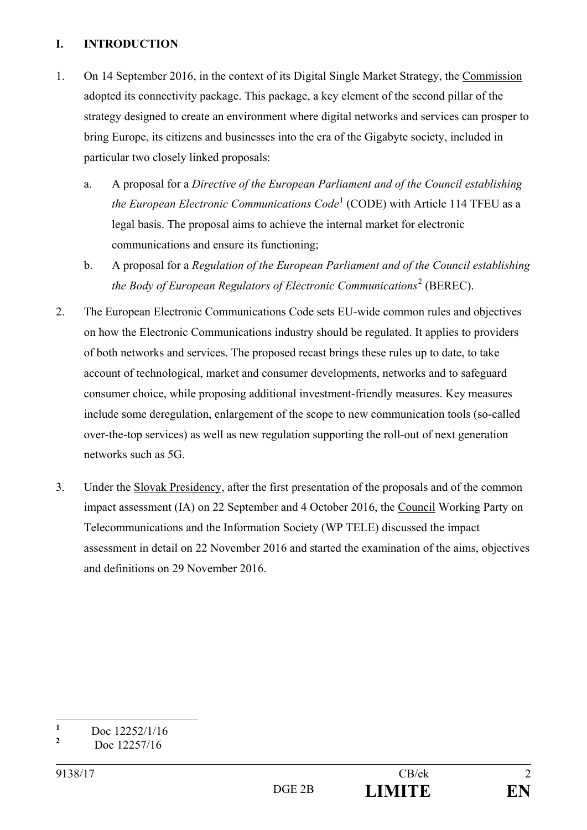#### **I. INTRODUCTION**

- 1. On 14 September 2016, in the context of its Digital Single Market Strategy, the Commission adopted its connectivity package. This package, a key element of the second pillar of the strategy designed to create an environment where digital networks and services can prosper to bring Europe, its citizens and businesses into the era of the Gigabyte society, included in particular two closely linked proposals:
	- a. A proposal for a *Directive of the European Parliament and of the Council establishing the European Electronic Communications Code*<sup>1</sup> (CODE) with Article 114 TFEU as a legal basis. The proposal aims to achieve the internal market for electronic communications and ensure its functioning;
	- b. A proposal for a *Regulation of the European Parliament and of the Council establishing the Body of European Regulators of Electronic Communications<sup>2</sup> (BEREC).*
- 2. The European Electronic Communications Code sets EU-wide common rules and objectives on how the Electronic Communications industry should be regulated. It applies to providers of both networks and services. The proposed recast brings these rules up to date, to take account of technological, market and consumer developments, networks and to safeguard consumer choice, while proposing additional investment-friendly measures. Key measures include some deregulation, enlargement of the scope to new communication tools (so-called over-the-top services) as well as new regulation supporting the roll-out of next generation networks such as 5G.
- 3. Under the Slovak Presidency, after the first presentation of the proposals and of the common impact assessment (IA) on 22 September and 4 October 2016, the Council Working Party on Telecommunications and the Information Society (WP TELE) discussed the impact assessment in detail on 22 November 2016 and started the examination of the aims, objectives and definitions on 29 November 2016.

 **1** Doc 12252/1/16

**<sup>2</sup>** Doc 12257/16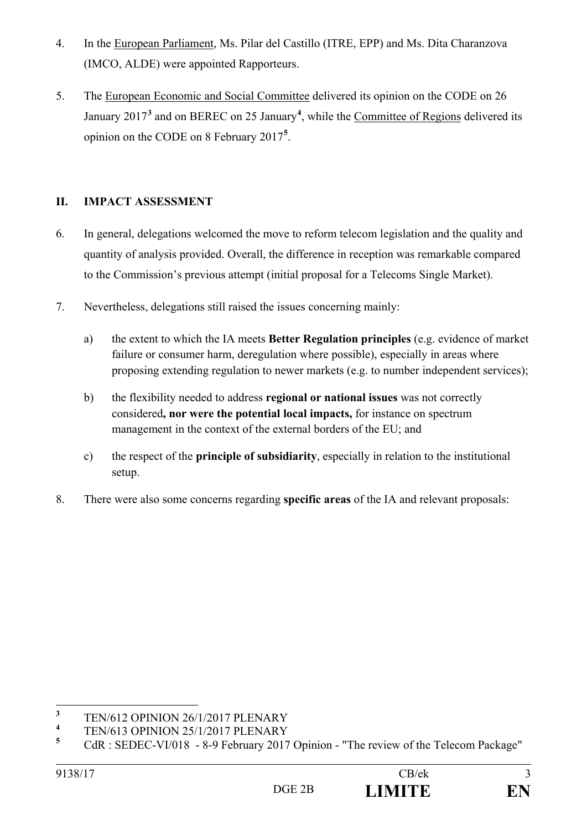- 4. In the European Parliament, Ms. Pilar del Castillo (ITRE, EPP) and Ms. Dita Charanzova (IMCO, ALDE) were appointed Rapporteurs.
- 5. The European Economic and Social Committee delivered its opinion on the CODE on 26 January 2017<sup>3</sup> and on BEREC on 25 January<sup>4</sup>, while the Committee of Regions delivered its opinion on the CODE on 8 February 2017**<sup>5</sup>** .

# **II. IMPACT ASSESSMENT**

- 6. In general, delegations welcomed the move to reform telecom legislation and the quality and quantity of analysis provided. Overall, the difference in reception was remarkable compared to the Commission's previous attempt (initial proposal for a Telecoms Single Market).
- 7. Nevertheless, delegations still raised the issues concerning mainly:
	- a) the extent to which the IA meets **Better Regulation principles** (e.g. evidence of market failure or consumer harm, deregulation where possible), especially in areas where proposing extending regulation to newer markets (e.g. to number independent services);
	- b) the flexibility needed to address **regional or national issues** was not correctly considered**, nor were the potential local impacts,** for instance on spectrum management in the context of the external borders of the EU; and
	- c) the respect of the **principle of subsidiarity**, especially in relation to the institutional setup.
- 8. There were also some concerns regarding **specific areas** of the IA and relevant proposals:

 **3** TEN/612 OPINION 26/1/2017 PLENARY

**<sup>4</sup>** TEN/613 OPINION 25/1/2017 PLENARY

**<sup>5</sup>** CdR : SEDEC-VI/018 - 8-9 February 2017 Opinion - "The review of the Telecom Package"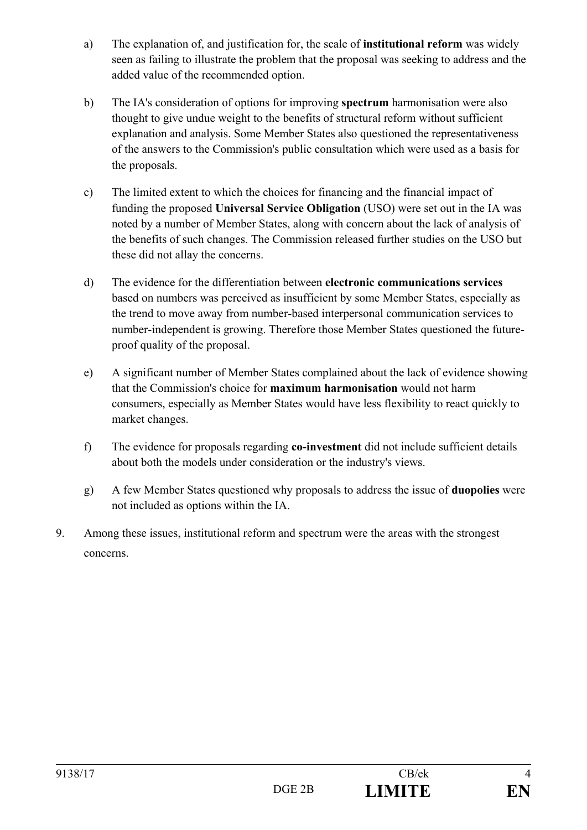- a) The explanation of, and justification for, the scale of **institutional reform** was widely seen as failing to illustrate the problem that the proposal was seeking to address and the added value of the recommended option.
- b) The IA's consideration of options for improving **spectrum** harmonisation were also thought to give undue weight to the benefits of structural reform without sufficient explanation and analysis. Some Member States also questioned the representativeness of the answers to the Commission's public consultation which were used as a basis for the proposals.
- c) The limited extent to which the choices for financing and the financial impact of funding the proposed **Universal Service Obligation** (USO) were set out in the IA was noted by a number of Member States, along with concern about the lack of analysis of the benefits of such changes. The Commission released further studies on the USO but these did not allay the concerns.
- d) The evidence for the differentiation between **electronic communications services** based on numbers was perceived as insufficient by some Member States, especially as the trend to move away from number-based interpersonal communication services to number-independent is growing. Therefore those Member States questioned the futureproof quality of the proposal.
- e) A significant number of Member States complained about the lack of evidence showing that the Commission's choice for **maximum harmonisation** would not harm consumers, especially as Member States would have less flexibility to react quickly to market changes.
- f) The evidence for proposals regarding **co-investment** did not include sufficient details about both the models under consideration or the industry's views.
- g) A few Member States questioned why proposals to address the issue of **duopolies** were not included as options within the IA.
- 9. Among these issues, institutional reform and spectrum were the areas with the strongest concerns.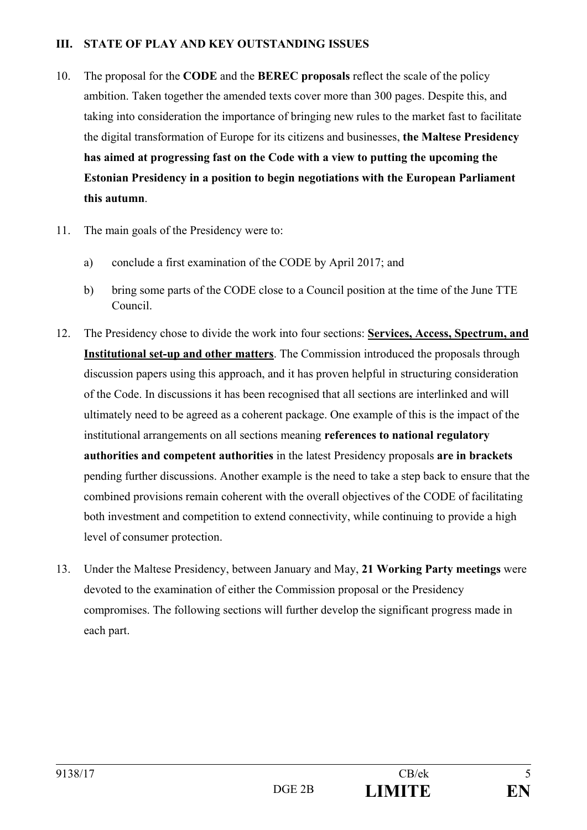#### **III. STATE OF PLAY AND KEY OUTSTANDING ISSUES**

- 10. The proposal for the **CODE** and the **BEREC proposals** reflect the scale of the policy ambition. Taken together the amended texts cover more than 300 pages. Despite this, and taking into consideration the importance of bringing new rules to the market fast to facilitate the digital transformation of Europe for its citizens and businesses, **the Maltese Presidency has aimed at progressing fast on the Code with a view to putting the upcoming the Estonian Presidency in a position to begin negotiations with the European Parliament this autumn**.
- 11. The main goals of the Presidency were to:
	- a) conclude a first examination of the CODE by April 2017; and
	- b) bring some parts of the CODE close to a Council position at the time of the June TTE Council.
- 12. The Presidency chose to divide the work into four sections: **Services, Access, Spectrum, and Institutional set-up and other matters**. The Commission introduced the proposals through discussion papers using this approach, and it has proven helpful in structuring consideration of the Code. In discussions it has been recognised that all sections are interlinked and will ultimately need to be agreed as a coherent package. One example of this is the impact of the institutional arrangements on all sections meaning **references to national regulatory authorities and competent authorities** in the latest Presidency proposals **are in brackets**  pending further discussions. Another example is the need to take a step back to ensure that the combined provisions remain coherent with the overall objectives of the CODE of facilitating both investment and competition to extend connectivity, while continuing to provide a high level of consumer protection.
- 13. Under the Maltese Presidency, between January and May, **21 Working Party meetings** were devoted to the examination of either the Commission proposal or the Presidency compromises. The following sections will further develop the significant progress made in each part.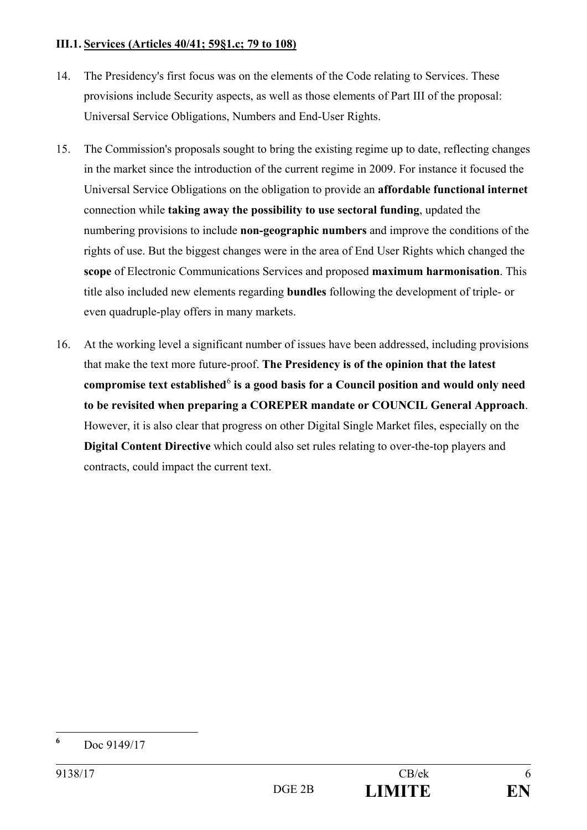#### **III.1. Services (Articles 40/41; 59§1.c; 79 to 108)**

- 14. The Presidency's first focus was on the elements of the Code relating to Services. These provisions include Security aspects, as well as those elements of Part III of the proposal: Universal Service Obligations, Numbers and End-User Rights.
- 15. The Commission's proposals sought to bring the existing regime up to date, reflecting changes in the market since the introduction of the current regime in 2009. For instance it focused the Universal Service Obligations on the obligation to provide an **affordable functional internet** connection while **taking away the possibility to use sectoral funding**, updated the numbering provisions to include **non-geographic numbers** and improve the conditions of the rights of use. But the biggest changes were in the area of End User Rights which changed the **scope** of Electronic Communications Services and proposed **maximum harmonisation**. This title also included new elements regarding **bundles** following the development of triple- or even quadruple-play offers in many markets.
- 16. At the working level a significant number of issues have been addressed, including provisions that make the text more future-proof. **The Presidency is of the opinion that the latest**  compromise text established<sup>6</sup> is a good basis for a Council position and would only need **to be revisited when preparing a COREPER mandate or COUNCIL General Approach**. However, it is also clear that progress on other Digital Single Market files, especially on the **Digital Content Directive** which could also set rules relating to over-the-top players and contracts, could impact the current text.

 **6** Doc 9149/17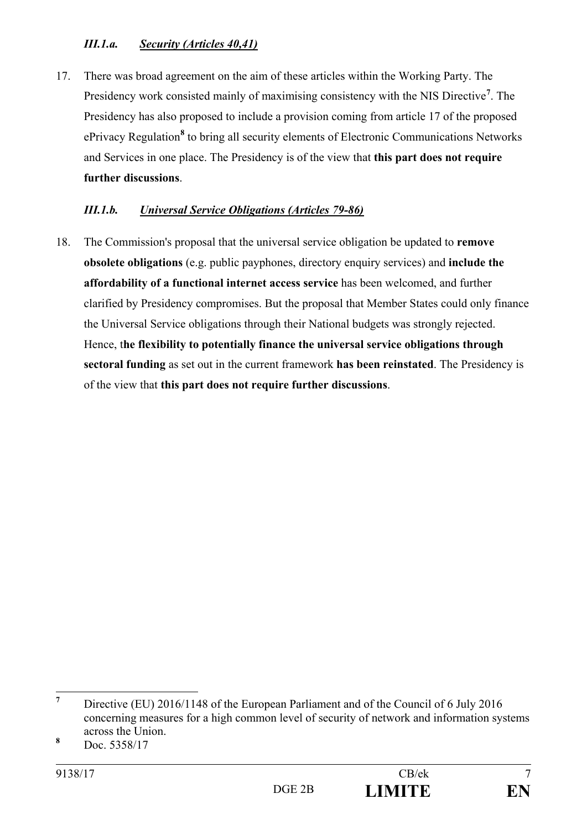# *III.1.a. Security (Articles 40,41)*

17. There was broad agreement on the aim of these articles within the Working Party. The Presidency work consisted mainly of maximising consistency with the NIS Directive**<sup>7</sup>** . The Presidency has also proposed to include a provision coming from article 17 of the proposed ePrivacy Regulation**<sup>8</sup>** to bring all security elements of Electronic Communications Networks and Services in one place. The Presidency is of the view that **this part does not require further discussions**.

### *III.1.b. Universal Service Obligations (Articles 79-86)*

18. The Commission's proposal that the universal service obligation be updated to **remove obsolete obligations** (e.g. public payphones, directory enquiry services) and **include the affordability of a functional internet access service** has been welcomed, and further clarified by Presidency compromises. But the proposal that Member States could only finance the Universal Service obligations through their National budgets was strongly rejected. Hence, t**he flexibility to potentially finance the universal service obligations through sectoral funding** as set out in the current framework **has been reinstated**. The Presidency is of the view that **this part does not require further discussions**.

 **7** Directive (EU) 2016/1148 of the European Parliament and of the Council of 6 July 2016 concerning measures for a high common level of security of network and information systems across the Union. **<sup>8</sup>**

Doc. 5358/17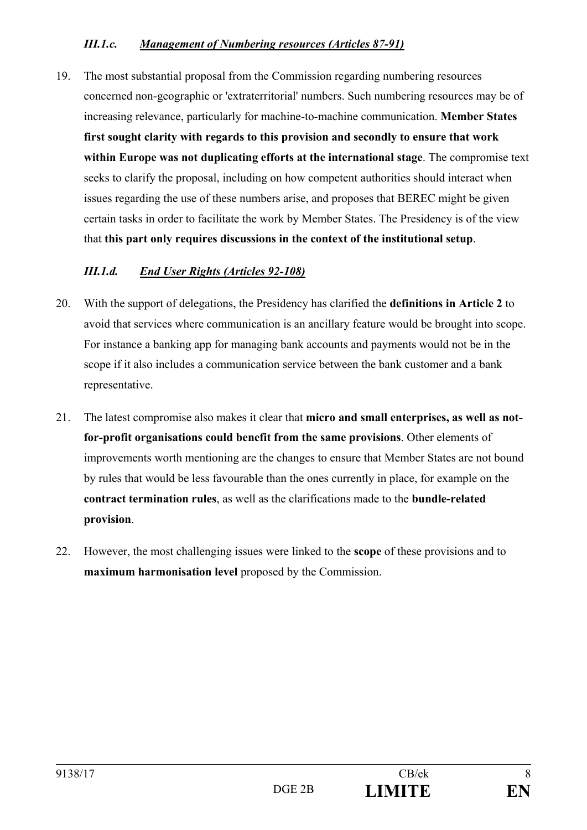## *III.1.c. Management of Numbering resources (Articles 87-91)*

19. The most substantial proposal from the Commission regarding numbering resources concerned non-geographic or 'extraterritorial' numbers. Such numbering resources may be of increasing relevance, particularly for machine-to-machine communication. **Member States first sought clarity with regards to this provision and secondly to ensure that work within Europe was not duplicating efforts at the international stage**. The compromise text seeks to clarify the proposal, including on how competent authorities should interact when issues regarding the use of these numbers arise, and proposes that BEREC might be given certain tasks in order to facilitate the work by Member States. The Presidency is of the view that **this part only requires discussions in the context of the institutional setup**.

## *III.1.d. End User Rights (Articles 92-108)*

- 20. With the support of delegations, the Presidency has clarified the **definitions in Article 2** to avoid that services where communication is an ancillary feature would be brought into scope. For instance a banking app for managing bank accounts and payments would not be in the scope if it also includes a communication service between the bank customer and a bank representative.
- 21. The latest compromise also makes it clear that **micro and small enterprises, as well as notfor-profit organisations could benefit from the same provisions**. Other elements of improvements worth mentioning are the changes to ensure that Member States are not bound by rules that would be less favourable than the ones currently in place, for example on the **contract termination rules**, as well as the clarifications made to the **bundle-related provision**.
- 22. However, the most challenging issues were linked to the **scope** of these provisions and to **maximum harmonisation level** proposed by the Commission.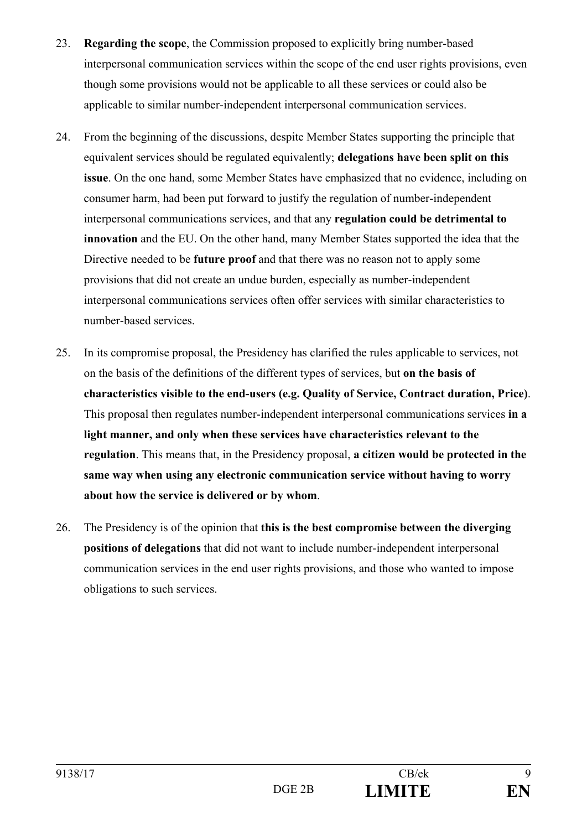- 23. **Regarding the scope**, the Commission proposed to explicitly bring number-based interpersonal communication services within the scope of the end user rights provisions, even though some provisions would not be applicable to all these services or could also be applicable to similar number-independent interpersonal communication services.
- 24. From the beginning of the discussions, despite Member States supporting the principle that equivalent services should be regulated equivalently; **delegations have been split on this issue**. On the one hand, some Member States have emphasized that no evidence, including on consumer harm, had been put forward to justify the regulation of number-independent interpersonal communications services, and that any **regulation could be detrimental to innovation** and the EU. On the other hand, many Member States supported the idea that the Directive needed to be **future proof** and that there was no reason not to apply some provisions that did not create an undue burden, especially as number-independent interpersonal communications services often offer services with similar characteristics to number-based services.
- 25. In its compromise proposal, the Presidency has clarified the rules applicable to services, not on the basis of the definitions of the different types of services, but **on the basis of characteristics visible to the end-users (e.g. Quality of Service, Contract duration, Price)**. This proposal then regulates number-independent interpersonal communications services **in a light manner, and only when these services have characteristics relevant to the regulation**. This means that, in the Presidency proposal, **a citizen would be protected in the same way when using any electronic communication service without having to worry about how the service is delivered or by whom**.
- 26. The Presidency is of the opinion that **this is the best compromise between the diverging positions of delegations** that did not want to include number-independent interpersonal communication services in the end user rights provisions, and those who wanted to impose obligations to such services.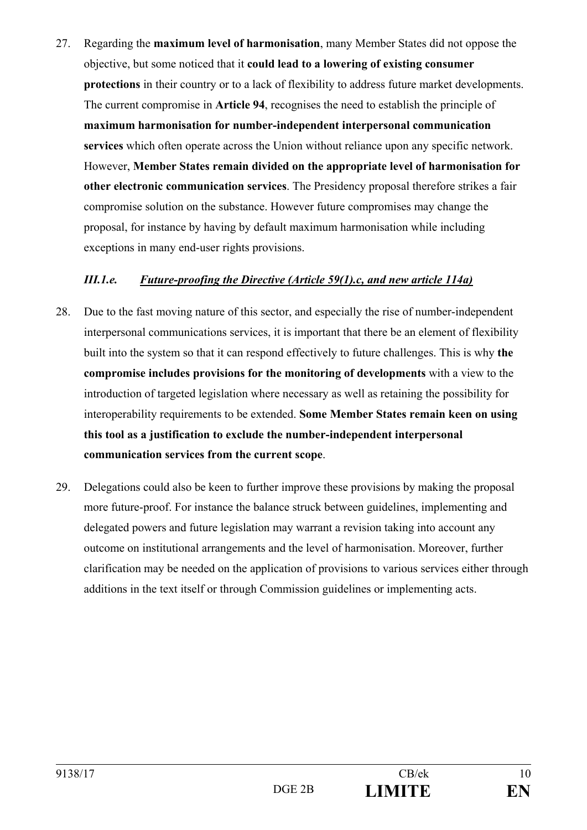27. Regarding the **maximum level of harmonisation**, many Member States did not oppose the objective, but some noticed that it **could lead to a lowering of existing consumer protections** in their country or to a lack of flexibility to address future market developments. The current compromise in **Article 94**, recognises the need to establish the principle of **maximum harmonisation for number-independent interpersonal communication services** which often operate across the Union without reliance upon any specific network. However, **Member States remain divided on the appropriate level of harmonisation for other electronic communication services**. The Presidency proposal therefore strikes a fair compromise solution on the substance. However future compromises may change the proposal, for instance by having by default maximum harmonisation while including exceptions in many end-user rights provisions.

#### *III.1.e. Future-proofing the Directive (Article 59(1).c, and new article 114a)*

- 28. Due to the fast moving nature of this sector, and especially the rise of number-independent interpersonal communications services, it is important that there be an element of flexibility built into the system so that it can respond effectively to future challenges. This is why **the compromise includes provisions for the monitoring of developments** with a view to the introduction of targeted legislation where necessary as well as retaining the possibility for interoperability requirements to be extended. **Some Member States remain keen on using this tool as a justification to exclude the number-independent interpersonal communication services from the current scope**.
- 29. Delegations could also be keen to further improve these provisions by making the proposal more future-proof. For instance the balance struck between guidelines, implementing and delegated powers and future legislation may warrant a revision taking into account any outcome on institutional arrangements and the level of harmonisation. Moreover, further clarification may be needed on the application of provisions to various services either through additions in the text itself or through Commission guidelines or implementing acts.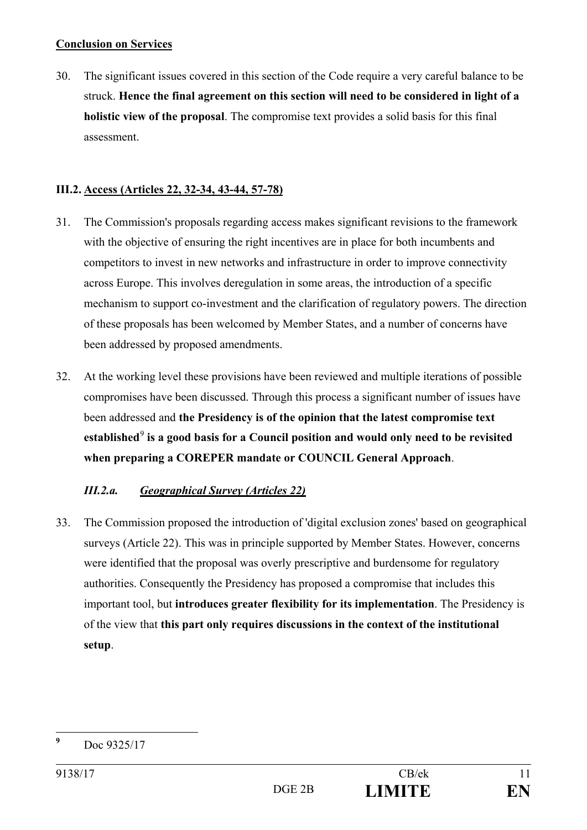#### **Conclusion on Services**

30. The significant issues covered in this section of the Code require a very careful balance to be struck. **Hence the final agreement on this section will need to be considered in light of a holistic view of the proposal**. The compromise text provides a solid basis for this final assessment.

## **III.2. Access (Articles 22, 32-34, 43-44, 57-78)**

- 31. The Commission's proposals regarding access makes significant revisions to the framework with the objective of ensuring the right incentives are in place for both incumbents and competitors to invest in new networks and infrastructure in order to improve connectivity across Europe. This involves deregulation in some areas, the introduction of a specific mechanism to support co-investment and the clarification of regulatory powers. The direction of these proposals has been welcomed by Member States, and a number of concerns have been addressed by proposed amendments.
- 32. At the working level these provisions have been reviewed and multiple iterations of possible compromises have been discussed. Through this process a significant number of issues have been addressed and **the Presidency is of the opinion that the latest compromise text established**<sup>9</sup>  **is a good basis for a Council position and would only need to be revisited when preparing a COREPER mandate or COUNCIL General Approach**.

# *III.2.a. Geographical Survey (Articles 22)*

33. The Commission proposed the introduction of 'digital exclusion zones' based on geographical surveys (Article 22). This was in principle supported by Member States. However, concerns were identified that the proposal was overly prescriptive and burdensome for regulatory authorities. Consequently the Presidency has proposed a compromise that includes this important tool, but **introduces greater flexibility for its implementation**. The Presidency is of the view that **this part only requires discussions in the context of the institutional setup**.

 **9** Doc 9325/17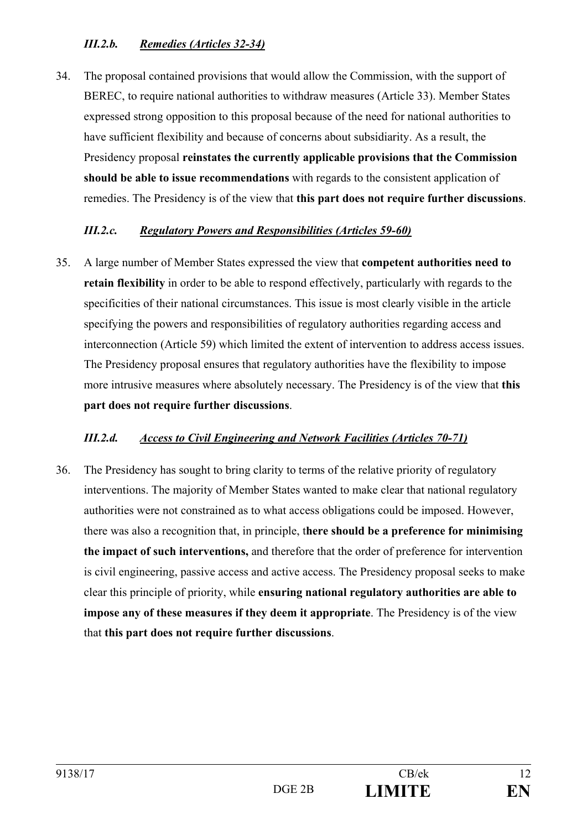# *III.2.b. Remedies (Articles 32-34)*

34. The proposal contained provisions that would allow the Commission, with the support of BEREC, to require national authorities to withdraw measures (Article 33). Member States expressed strong opposition to this proposal because of the need for national authorities to have sufficient flexibility and because of concerns about subsidiarity. As a result, the Presidency proposal **reinstates the currently applicable provisions that the Commission should be able to issue recommendations** with regards to the consistent application of remedies. The Presidency is of the view that **this part does not require further discussions**.

## *III.2.c. Regulatory Powers and Responsibilities (Articles 59-60)*

35. A large number of Member States expressed the view that **competent authorities need to retain flexibility** in order to be able to respond effectively, particularly with regards to the specificities of their national circumstances. This issue is most clearly visible in the article specifying the powers and responsibilities of regulatory authorities regarding access and interconnection (Article 59) which limited the extent of intervention to address access issues. The Presidency proposal ensures that regulatory authorities have the flexibility to impose more intrusive measures where absolutely necessary. The Presidency is of the view that **this part does not require further discussions**.

# *III.2.d. Access to Civil Engineering and Network Facilities (Articles 70-71)*

36. The Presidency has sought to bring clarity to terms of the relative priority of regulatory interventions. The majority of Member States wanted to make clear that national regulatory authorities were not constrained as to what access obligations could be imposed. However, there was also a recognition that, in principle, t**here should be a preference for minimising the impact of such interventions,** and therefore that the order of preference for intervention is civil engineering, passive access and active access. The Presidency proposal seeks to make clear this principle of priority, while **ensuring national regulatory authorities are able to impose any of these measures if they deem it appropriate**. The Presidency is of the view that **this part does not require further discussions**.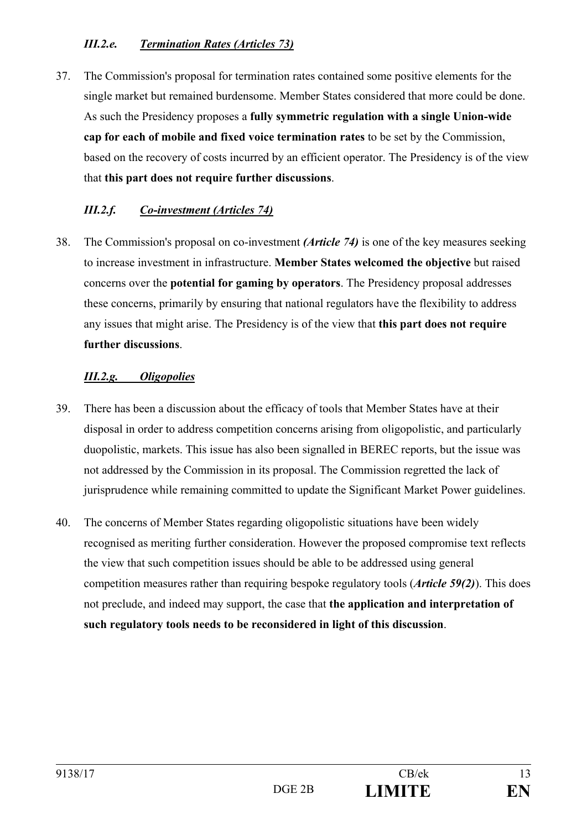# *III.2.e. Termination Rates (Articles 73)*

37. The Commission's proposal for termination rates contained some positive elements for the single market but remained burdensome. Member States considered that more could be done. As such the Presidency proposes a **fully symmetric regulation with a single Union-wide cap for each of mobile and fixed voice termination rates** to be set by the Commission, based on the recovery of costs incurred by an efficient operator. The Presidency is of the view that **this part does not require further discussions**.

# *III.2.f. Co-investment (Articles 74)*

38. The Commission's proposal on co-investment *(Article 74)* is one of the key measures seeking to increase investment in infrastructure. **Member States welcomed the objective** but raised concerns over the **potential for gaming by operators**. The Presidency proposal addresses these concerns, primarily by ensuring that national regulators have the flexibility to address any issues that might arise. The Presidency is of the view that **this part does not require further discussions**.

# *III.2.g. Oligopolies*

- 39. There has been a discussion about the efficacy of tools that Member States have at their disposal in order to address competition concerns arising from oligopolistic, and particularly duopolistic, markets. This issue has also been signalled in BEREC reports, but the issue was not addressed by the Commission in its proposal. The Commission regretted the lack of jurisprudence while remaining committed to update the Significant Market Power guidelines.
- 40. The concerns of Member States regarding oligopolistic situations have been widely recognised as meriting further consideration. However the proposed compromise text reflects the view that such competition issues should be able to be addressed using general competition measures rather than requiring bespoke regulatory tools (*Article 59(2)*). This does not preclude, and indeed may support, the case that **the application and interpretation of such regulatory tools needs to be reconsidered in light of this discussion**.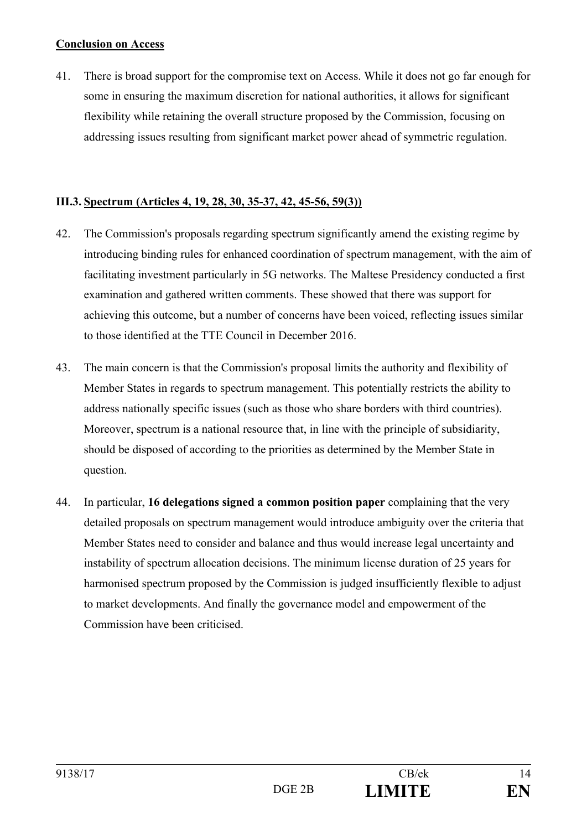#### **Conclusion on Access**

41. There is broad support for the compromise text on Access. While it does not go far enough for some in ensuring the maximum discretion for national authorities, it allows for significant flexibility while retaining the overall structure proposed by the Commission, focusing on addressing issues resulting from significant market power ahead of symmetric regulation.

### **III.3. Spectrum (Articles 4, 19, 28, 30, 35-37, 42, 45-56, 59(3))**

- 42. The Commission's proposals regarding spectrum significantly amend the existing regime by introducing binding rules for enhanced coordination of spectrum management, with the aim of facilitating investment particularly in 5G networks. The Maltese Presidency conducted a first examination and gathered written comments. These showed that there was support for achieving this outcome, but a number of concerns have been voiced, reflecting issues similar to those identified at the TTE Council in December 2016.
- 43. The main concern is that the Commission's proposal limits the authority and flexibility of Member States in regards to spectrum management. This potentially restricts the ability to address nationally specific issues (such as those who share borders with third countries). Moreover, spectrum is a national resource that, in line with the principle of subsidiarity, should be disposed of according to the priorities as determined by the Member State in question.
- 44. In particular, **16 delegations signed a common position paper** complaining that the very detailed proposals on spectrum management would introduce ambiguity over the criteria that Member States need to consider and balance and thus would increase legal uncertainty and instability of spectrum allocation decisions. The minimum license duration of 25 years for harmonised spectrum proposed by the Commission is judged insufficiently flexible to adjust to market developments. And finally the governance model and empowerment of the Commission have been criticised.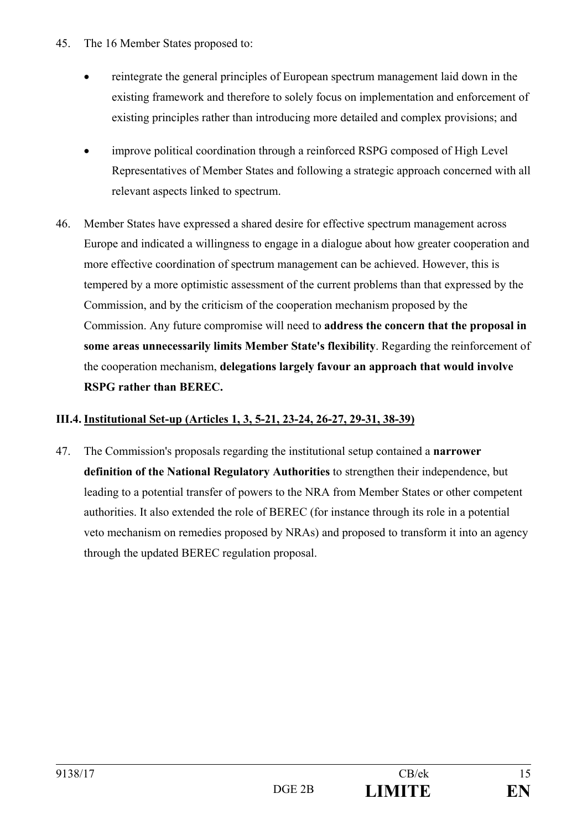- 45. The 16 Member States proposed to:
	- reintegrate the general principles of European spectrum management laid down in the existing framework and therefore to solely focus on implementation and enforcement of existing principles rather than introducing more detailed and complex provisions; and
	- improve political coordination through a reinforced RSPG composed of High Level Representatives of Member States and following a strategic approach concerned with all relevant aspects linked to spectrum.
- 46. Member States have expressed a shared desire for effective spectrum management across Europe and indicated a willingness to engage in a dialogue about how greater cooperation and more effective coordination of spectrum management can be achieved. However, this is tempered by a more optimistic assessment of the current problems than that expressed by the Commission, and by the criticism of the cooperation mechanism proposed by the Commission. Any future compromise will need to **address the concern that the proposal in some areas unnecessarily limits Member State's flexibility**. Regarding the reinforcement of the cooperation mechanism, **delegations largely favour an approach that would involve RSPG rather than BEREC.**

## **III.4. Institutional Set-up (Articles 1, 3, 5-21, 23-24, 26-27, 29-31, 38-39)**

47. The Commission's proposals regarding the institutional setup contained a **narrower definition of the National Regulatory Authorities** to strengthen their independence, but leading to a potential transfer of powers to the NRA from Member States or other competent authorities. It also extended the role of BEREC (for instance through its role in a potential veto mechanism on remedies proposed by NRAs) and proposed to transform it into an agency through the updated BEREC regulation proposal.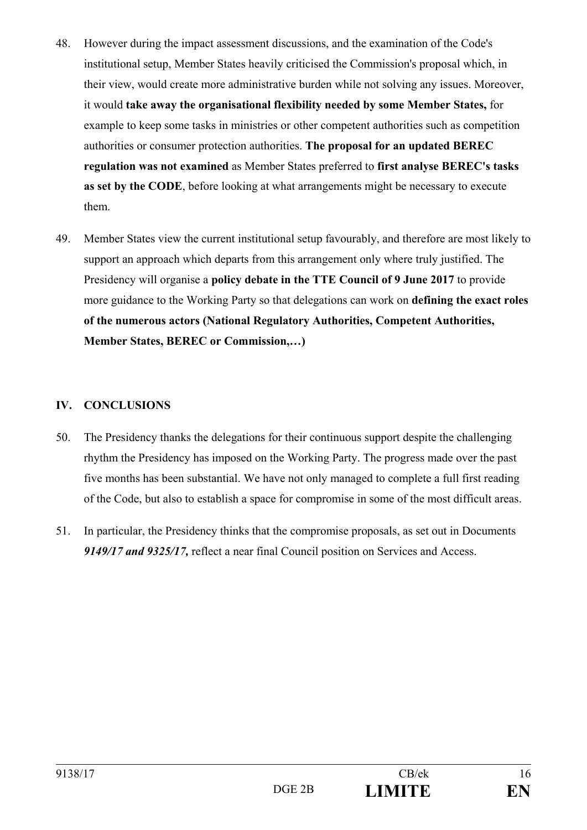- 48. However during the impact assessment discussions, and the examination of the Code's institutional setup, Member States heavily criticised the Commission's proposal which, in their view, would create more administrative burden while not solving any issues. Moreover, it would **take away the organisational flexibility needed by some Member States,** for example to keep some tasks in ministries or other competent authorities such as competition authorities or consumer protection authorities. **The proposal for an updated BEREC regulation was not examined** as Member States preferred to **first analyse BEREC's tasks as set by the CODE**, before looking at what arrangements might be necessary to execute them.
- 49. Member States view the current institutional setup favourably, and therefore are most likely to support an approach which departs from this arrangement only where truly justified. The Presidency will organise a **policy debate in the TTE Council of 9 June 2017** to provide more guidance to the Working Party so that delegations can work on **defining the exact roles of the numerous actors (National Regulatory Authorities, Competent Authorities, Member States, BEREC or Commission,…)**

## **IV. CONCLUSIONS**

- 50. The Presidency thanks the delegations for their continuous support despite the challenging rhythm the Presidency has imposed on the Working Party. The progress made over the past five months has been substantial. We have not only managed to complete a full first reading of the Code, but also to establish a space for compromise in some of the most difficult areas.
- 51. In particular, the Presidency thinks that the compromise proposals, as set out in Documents *9149/17 and 9325/17,* reflect a near final Council position on Services and Access.